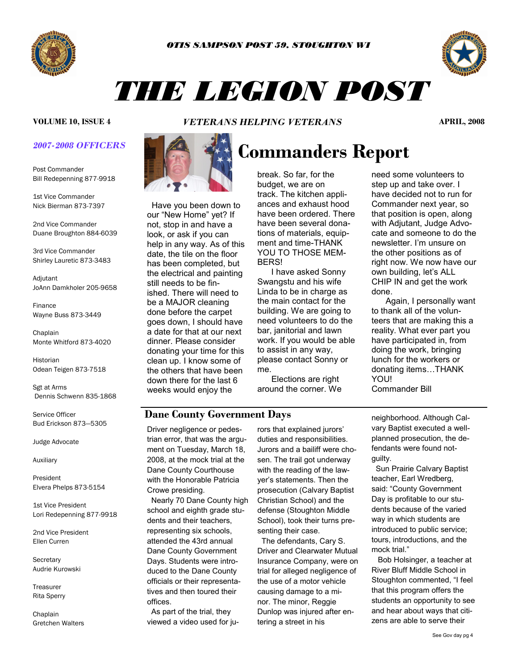



# *THE LEGION POST*

#### *2007-2008 OFFICERS*

Post Commander Bill Redepenning 877-9918

1st Vice Commander Nick Bierman 873-7397

2nd Vice Commander Duane Broughton 884-6039

3rd Vice Commander Shirley Lauretic 873-3483

**Adjutant** JoAnn Damkholer 205-9658

Finance Wayne Buss 873-3449

**Chaplain** Monte Whitford 873-4020

Historian Odean Teigen 873-7518

Sgt at Arms Dennis Schwenn 835-1868

Service Officer Bud Erickson 873—5305

Judge Advocate

Auxiliary

President Elvera Phelps 873-5154

1st Vice President Lori Redepenning 877-9918

2nd Vice President Ellen Curren

**Secretary** Audrie Kurowski

Treasurer Rita Sperry

Chaplain Gretchen Walters

*VETERANS HELPING VETERANS* **VOLUME 10, ISSUE 4 APRIL, 2008** 



 Have you been down to our "New Home" yet? If not, stop in and have a look, or ask if you can help in any way. As of this date, the tile on the floor has been completed, but the electrical and painting still needs to be finished. There will need to be a MAJOR cleaning done before the carpet goes down, I should have a date for that at our next dinner. Please consider donating your time for this clean up. I know some of the others that have been down there for the last 6 weeks would enjoy the

## **Commanders Report**

break. So far, for the budget, we are on track. The kitchen appliances and exhaust hood have been ordered. There have been several donations of materials, equipment and time-THANK YOU TO THOSE MEM-**BERS!** 

 I have asked Sonny Swangstu and his wife Linda to be in charge as the main contact for the building. We are going to need volunteers to do the bar, janitorial and lawn work. If you would be able to assist in any way, please contact Sonny or me.

 Elections are right around the corner. We need some volunteers to step up and take over. I have decided not to run for Commander next year, so that position is open, along with Adjutant, Judge Advocate and someone to do the newsletter. I'm unsure on the other positions as of right now. We now have our own building, let's ALL CHIP IN and get the work done.

 Again, I personally want to thank all of the volunteers that are making this a reality. What ever part you have participated in, from doing the work, bringing lunch for the workers or donating items…THANK YOU!

Commander Bill

### **Dane County Government Days**

 trian error, that was the argu-Driver negligence or pedesment on Tuesday, March 18, 2008, at the mock trial at the Dane County Courthouse with the Honorable Patricia Crowe presiding.

 Nearly 70 Dane County high school and eighth grade students and their teachers, representing six schools, attended the 43rd annual Dane County Government Days. Students were introduced to the Dane County officials or their representatives and then toured their offices.

 As part of the trial, they viewed a video used for jurors that explained jurors' duties and responsibilities. Jurors and a bailiff were chosen. The trail got underway with the reading of the lawyer's statements. Then the prosecution (Calvary Baptist Christian School) and the defense (Stoughton Middle School), took their turns presenting their case.

 The defendants, Cary S. Driver and Clearwater Mutual Insurance Company, were on trial for alleged negligence of the use of a motor vehicle causing damage to a minor. The minor, Reggie Dunlop was injured after entering a street in his

neighborhood. Although Calvary Baptist executed a wellplanned prosecution, the defendants were found notguilty.

 Sun Prairie Calvary Baptist teacher, Earl Wredberg, said: "County Government Day is profitable to our students because of the varied way in which students are introduced to public service; tours, introductions, and the mock trial."

 Bob Holsinger, a teacher at River Bluff Middle School in Stoughton commented, "I feel that this program offers the students an opportunity to see and hear about ways that citizens are able to serve their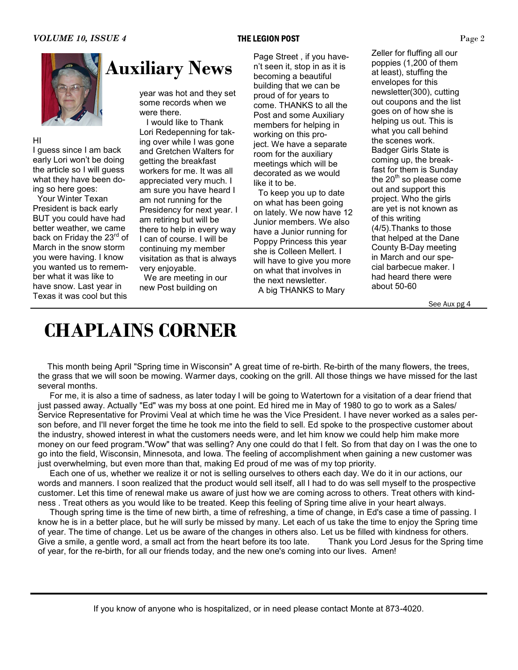

#### HI

I guess since I am back early Lori won't be doing the article so I will guess what they have been doing so here goes:

Your Winter Texan President is back early BUT you could have had better weather, we came back on Friday the 23<sup>rd</sup> of March in the snow storm you were having. I know you wanted us to remember what it was like to have snow. Last year in Texas it was cool but this

year was hot and they set some records when we

were there.

 I would like to Thank Lori Redepenning for taking over while I was gone and Gretchen Walters for getting the breakfast workers for me. It was all appreciated very much. I am sure you have heard I am not running for the Presidency for next year. I am retiring but will be there to help in every way I can of course. I will be continuing my member visitation as that is always very enjoyable.

 We are meeting in our new Post building on

Page Street , if you haven't seen it, stop in as it is becoming a beautiful building that we can be proud of for years to come. THANKS to all the Post and some Auxiliary members for helping in working on this project. We have a separate room for the auxiliary meetings which will be decorated as we would like it to be.

 To keep you up to date on what has been going on lately. We now have 12 Junior members. We also have a Junior running for Poppy Princess this year she is Colleen Mellert. I will have to give you more on what that involves in the next newsletter. A big THANKS to Mary

Zeller for fluffing all our poppies (1,200 of them at least), stuffing the envelopes for this newsletter(300), cutting out coupons and the list goes on of how she is helping us out. This is what you call behind the scenes work. Badger Girls State is coming up, the breakfast for them is Sunday the  $20<sup>th</sup>$  so please come out and support this project. Who the girls are yet is not known as of this writing (4/5).Thanks to those that helped at the Dane County B-Day meeting in March and our special barbecue maker. I had heard there were about 50-60

See Aux pg 4

### **CHAPLAINS CORNER**

 This month being April "Spring time in Wisconsin" A great time of re-birth. Re-birth of the many flowers, the trees, the grass that we will soon be mowing. Warmer days, cooking on the grill. All those things we have missed for the last several months.

 For me, it is also a time of sadness, as later today I will be going to Watertown for a visitation of a dear friend that just passed away. Actually "Ed" was my boss at one point. Ed hired me in May of 1980 to go to work as a Sales/ Service Representative for Provimi Veal at which time he was the Vice President. I have never worked as a sales person before, and I'll never forget the time he took me into the field to sell. Ed spoke to the prospective customer about the industry, showed interest in what the customers needs were, and let him know we could help him make more money on our feed program."Wow" that was selling? Any one could do that I felt. So from that day on I was the one to go into the field, Wisconsin, Minnesota, and Iowa. The feeling of accomplishment when gaining a new customer was just overwhelming, but even more than that, making Ed proud of me was of my top priority.

 Each one of us, whether we realize it or not is selling ourselves to others each day. We do it in our actions, our words and manners. I soon realized that the product would sell itself, all I had to do was sell myself to the prospective customer. Let this time of renewal make us aware of just how we are coming across to others. Treat others with kindness . Treat others as you would like to be treated. Keep this feeling of Spring time alive in your heart always.

 Though spring time is the time of new birth, a time of refreshing, a time of change, in Ed's case a time of passing. I know he is in a better place, but he will surly be missed by many. Let each of us take the time to enjoy the Spring time of year. The time of change. Let us be aware of the changes in others also. Let us be filled with kindness for others. Give a smile, a gentle word, a small act from the heart before its too late. Thank you Lord Jesus for the Spring time of year, for the re-birth, for all our friends today, and the new one's coming into our lives. Amen!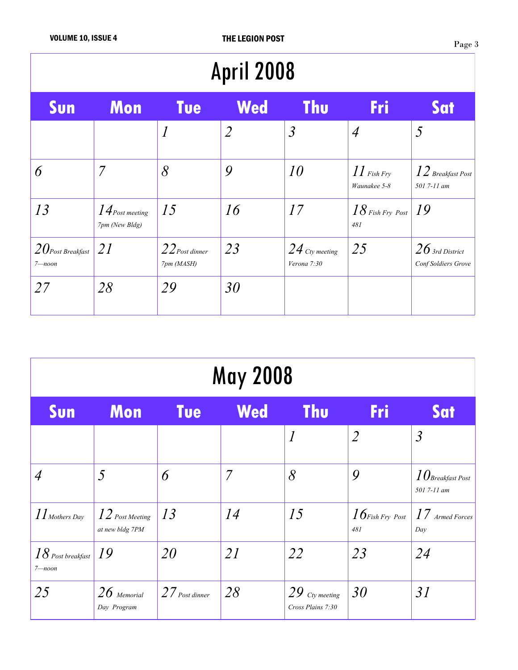| <b>April 2008</b>                |                                     |                                |                |                                 |                               |                                          |  |  |  |  |
|----------------------------------|-------------------------------------|--------------------------------|----------------|---------------------------------|-------------------------------|------------------------------------------|--|--|--|--|
| Sun                              | Mon                                 | <b>Tue</b>                     | <b>Wed</b>     | <b>Thu</b>                      | Fri                           | Sat                                      |  |  |  |  |
|                                  |                                     | $\overline{l}$                 | $\overline{2}$ | $\mathfrak{Z}$                  | $\overline{A}$                | 5                                        |  |  |  |  |
| 6                                | $\overline{7}$                      | 8                              | 9              | 10                              | $II$ Fish Fry<br>Waunakee 5-8 | $12$ Breakfast Post<br>501 7-11 am       |  |  |  |  |
| 13                               | $14$ Post meeting<br>7pm (New Bldg) | 15                             | 16             | 17                              | $18$ Fish Fry Post<br>481     | 19                                       |  |  |  |  |
| $20$ Post Breakfast<br>$7$ —noon | <i>21</i>                           | $22$ Post dinner<br>7pm (MASH) | 23             | $24$ Cty meeting<br>Verona 7:30 | 25                            | $26$ 3rd District<br>Conf Soldiers Grove |  |  |  |  |
| 27                               | 28                                  | 29                             | 30             |                                 |                               |                                          |  |  |  |  |

| <b>May 2008</b>                  |                                      |                     |     |                                       |                           |                                        |  |  |  |
|----------------------------------|--------------------------------------|---------------------|-----|---------------------------------------|---------------------------|----------------------------------------|--|--|--|
| Sun                              | <b>Mon</b>                           | <b>Tue</b>          | Wed | <b>Thu</b>                            | Fri                       | Sat                                    |  |  |  |
|                                  |                                      |                     |     | $\overline{l}$                        | $\overline{2}$            | $\mathfrak{Z}$                         |  |  |  |
| $\overline{A}$                   | 5                                    | 6                   | 7   | 8                                     | 9                         | $\it 10$ Breakfast Post<br>501 7-11 am |  |  |  |
| $II$ Mothers Day                 | $12$ Post Meeting<br>at new bldg 7PM | 13                  | 14  | 15                                    | $16$ Fish Fry Post<br>481 | $17$ Armed Forces<br>Day               |  |  |  |
| $18$ Post breakfast<br>$7$ —noon | 19                                   | 20                  | 21  | 22                                    | 23                        | 24                                     |  |  |  |
| 25                               | $26$ Memorial<br>Day Program         | $27_{Post\,dinner}$ | 28  | $29$ Cty meeting<br>Cross Plains 7:30 | 30                        | 31                                     |  |  |  |